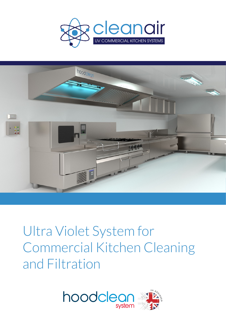



# Ultra Violet System for Commercial Kitchen Cleaning and Filtration

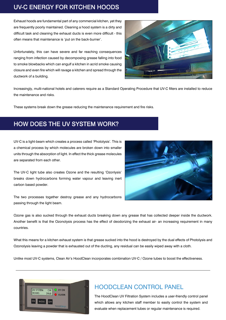# **UV-C ENERGY FOR KITCHEN HOODS**

Exhaust hoods are fundamental part of any commercial kitchen, yet they are frequently poorly maintained. Cleaning a hood system is a dirty and difficult task and cleaning the exhaust ducts is even more difficult - this often means that maintenance is 'put on the back-burner'.

Unfortunately, this can have severe and far reaching consequences ranging from infection caused by decomposing grease falling into food to smoke blowbacks which can engulf a kitchen in acrid smoke causing closure and even fire which will ravage a kitchen and spread through the ductwork of a building.



Increasingly, multi-national hotels and caterers require as a Standard Operating Procedure that UV-C filters are installed to reduce the maintenance and risks.

These systems break down the grease reducing the maintenance requirement and fire risks.

# **HOW DOES THE UV SYSTEM WORK?**

UV-C is a light-beam which creates a process called 'Photolysis'. This is a chemical process by which molecules are broken down into smaller units through the absorption of light. In effect the thick grease molecules are separated from each other.

The UV-C light tube also creates Ozone and the resulting 'Ozonlysis' breaks down hydrocarbons forming water vapour and leaving inert carbon based powder.





Ozone gas is also sucked through the exhaust ducts breaking down any grease that has collected deeper inside the ductwork. Another benefit is that the Ozonolysis process has the effect of deodorizing the exhaust air- an increasing requirement in many countries.

What this means for a kitchen exhaust system is that grease sucked into the hood is destroyed by the dual effects of Photolysis and Ozonolysis leaving a powder that is exhausted out of the ducting, any residual can be easily wiped away with a cloth.

Unlike most UV-C systems, Clean Air's HoodClean incorporates combination UV-C / Ozone tubes to boost the effectiveness.



### HOODCLEAN CONTROL PANEL

The HoodClean UV Filtration System includes a user-friendly control panel which allows any kitchen staff member to easily control the system and evaluate when replacement tubes or regular maintenance is required.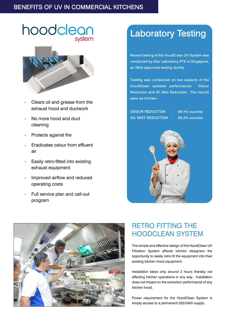# BENEFITS OF UV IN COMMERCIAL KITCHENS

# system hoodclean



- Clears oil and grease from the exhaust hood and ductwork
- No more hood and duct cleaning
- Protects against fire
- Eradicates odour from effluent air
- Easily retro-fitted into existing exhaust equipment
- Improved airflow and reduced operating costs
- Full service plan and call-out program

# **Laboratory Testing**

Recent testing of the HoodClean UV System was conducted by Star Laboratory PTE in Singapore, an NEA-approved testing facility.

Testing was conducted on two aspects of the HoodClean systems performance: Odour Reduction and Oil Mist Reduction. The results were as follows:-

| DDOUR REDUCTION      :      98.4% success  |  |
|--------------------------------------------|--|
| DIL MIST REDUCTION    :      98.2% success |  |





# RETRO FITTING THE HOODCLEAN SYSTEM

The simple and effective design of the HoodClean UV Filtration System affords kitchen designers the opportunity to easily retro-fit the equipment into their existing kitchen hood equipment.

Installation takes only around 2 hours thereby not affecting kitchen operations in any way. Installation does not impact on the extraction performance of any kitchen hood.

Power requirement for the HoodClean System is simply access to a permanent 220/240V supply.